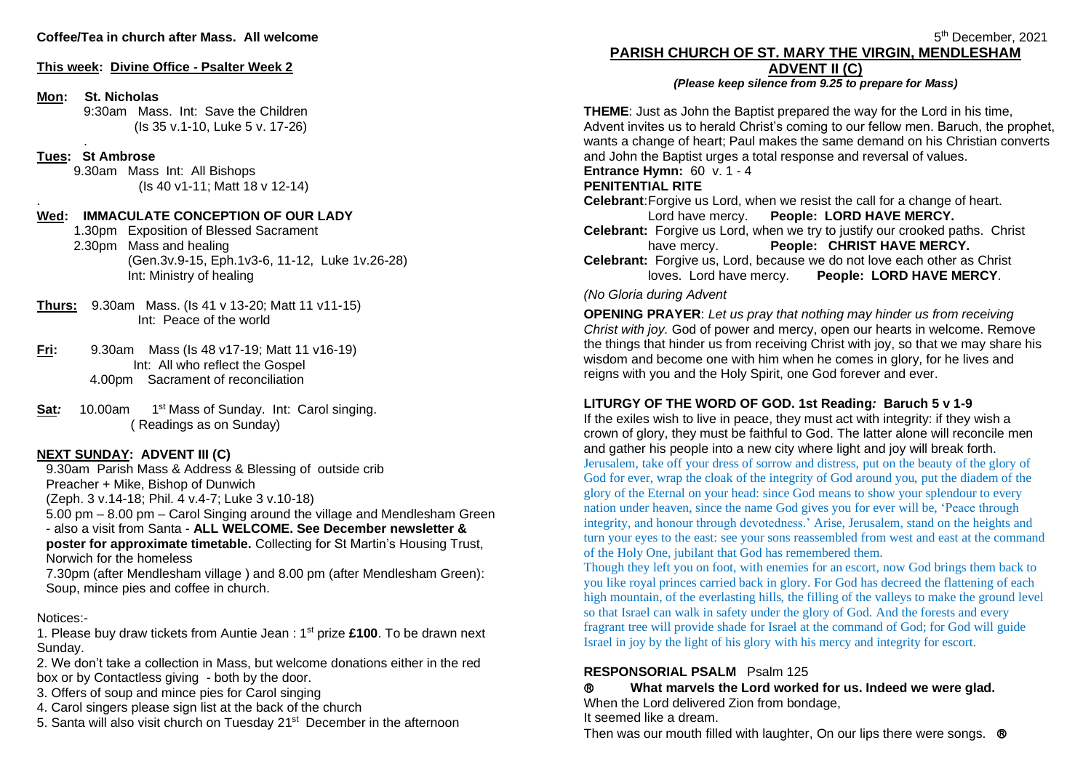### **Coffee/Tea in church after Mass. All welcome**

### **This week: Divine Office - Psalter Week 2**

### **Mon: St. Nicholas**

9:30am Mass. Int: Save the Children (Is 35 v.1-10, Luke 5 v. 17-26)

### **Tues: St Ambrose**

.

.

9.30am Mass Int: All Bishops (Is 40 v1-11; Matt 18 v 12-14)

### **Wed: IMMACULATE CONCEPTION OF OUR LADY**

1.30pm Exposition of Blessed Sacrament 2.30pm Mass and healing (Gen.3v.9-15, Eph.1v3-6, 11-12, Luke 1v.26-28) Int: Ministry of healing

- **Thurs:** 9.30am Mass. (Is 41 v 13-20; Matt 11 v11-15) Int: Peace of the world
- **Fri:** 9.30am Mass (Is 48 v17-19; Matt 11 v16-19) Int: All who reflect the Gospel 4.00pm Sacrament of reconciliation
- **Sat***:* 10.00am 1<sup>st</sup> Mass of Sunday. Int: Carol singing. ( Readings as on Sunday)

### **NEXT SUNDAY: ADVENT III (C)**

9.30am Parish Mass & Address & Blessing of outside crib Preacher + Mike, Bishop of Dunwich

(Zeph. 3 v.14-18; Phil. 4 v.4-7; Luke 3 v.10-18)

5.00 pm – 8.00 pm – Carol Singing around the village and Mendlesham Green - also a visit from Santa - **ALL WELCOME. See December newsletter & poster for approximate timetable.** Collecting for St Martin's Housing Trust, Norwich for the homeless

7.30pm (after Mendlesham village ) and 8.00 pm (after Mendlesham Green): Soup, mince pies and coffee in church.

### Notices:-

1. Please buy draw tickets from Auntie Jean : 1st prize **£100**. To be drawn next Sunday.

2. We don't take a collection in Mass, but welcome donations either in the red box or by Contactless giving - both by the door.

- 3. Offers of soup and mince pies for Carol singing
- 4. Carol singers please sign list at the back of the church
- 5. Santa will also visit church on Tuesday 21<sup>st</sup> December in the afternoon

5 th December, 2021 **PARISH CHURCH OF ST. MARY THE VIRGIN, MENDLESHAM**

# **ADVENT II (C)**

*(Please keep silence from 9.25 to prepare for Mass)*

**THEME**: Just as John the Baptist prepared the way for the Lord in his time, Advent invites us to herald Christ's coming to our fellow men. Baruch, the prophet, wants a change of heart; Paul makes the same demand on his Christian converts and John the Baptist urges a total response and reversal of values. **Entrance Hymn:** 60 v. 1 - 4

# **PENITENTIAL RITE**

**Celebrant**:Forgive us Lord, when we resist the call for a change of heart. Lord have mercy. **People: LORD HAVE MERCY. Celebrant:** Forgive us Lord, when we try to justify our crooked paths. Christ have mercy. **People: CHRIST HAVE MERCY. Celebrant:** Forgive us, Lord, because we do not love each other as Christ loves. Lord have mercy. **People: LORD HAVE MERCY**.

### *(No Gloria during Advent*

**OPENING PRAYER**: *Let us pray that nothing may hinder us from receiving Christ with joy.* God of power and mercy, open our hearts in welcome. Remove the things that hinder us from receiving Christ with joy, so that we may share his wisdom and become one with him when he comes in glory, for he lives and reigns with you and the Holy Spirit, one God forever and ever.

### **LITURGY OF THE WORD OF GOD. 1st Reading***:* **Baruch 5 v 1-9**

If the exiles wish to live in peace, they must act with integrity: if they wish a crown of glory, they must be faithful to God. The latter alone will reconcile men and gather his people into a new city where light and joy will break forth. Jerusalem, take off your dress of sorrow and distress, put on the beauty of the glory of God for ever, wrap the cloak of the integrity of God around you, put the diadem of the glory of the Eternal on your head: since God means to show your splendour to every nation under heaven, since the name God gives you for ever will be, 'Peace through integrity, and honour through devotedness.' Arise, Jerusalem, stand on the heights and turn your eyes to the east: see your sons reassembled from west and east at the command of the Holy One, jubilant that God has remembered them.

Though they left you on foot, with enemies for an escort, now God brings them back to you like royal princes carried back in glory. For God has decreed the flattening of each high mountain, of the everlasting hills, the filling of the valleys to make the ground level so that Israel can walk in safety under the glory of God. And the forests and every fragrant tree will provide shade for Israel at the command of God; for God will guide Israel in joy by the light of his glory with his mercy and integrity for escort.

### **RESPONSORIAL PSALM** Psalm 125

 **What marvels the Lord worked for us. Indeed we were glad.**  When the Lord delivered Zion from bondage,

It seemed like a dream.

Then was our mouth filled with laughter, On our lips there were songs.  $\circledR$